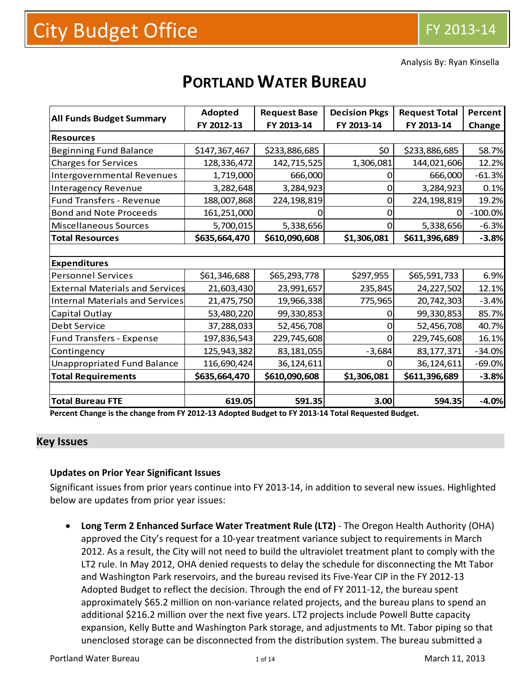Analysis By: Ryan Kinsella

# **PORTLAND WATER BUREAU**

|                                        | Adopted       | <b>Request Base</b> | <b>Decision Pkgs</b> | <b>Request Total</b> | Percent   |
|----------------------------------------|---------------|---------------------|----------------------|----------------------|-----------|
| <b>All Funds Budget Summary</b>        | FY 2012-13    | FY 2013-14          | FY 2013-14           | FY 2013-14           | Change    |
| <b>Resources</b>                       |               |                     |                      |                      |           |
| <b>Beginning Fund Balance</b>          | \$147,367,467 | \$233,886,685       | \$0                  | \$233,886,685        | 58.7%     |
| <b>Charges for Services</b>            | 128,336,472   | 142,715,525         | 1,306,081            | 144,021,606          | 12.2%     |
| Intergovernmental Revenues             | 1,719,000     | 666,000             |                      | 666,000              | $-61.3%$  |
| <b>Interagency Revenue</b>             | 3,282,648     | 3,284,923           | O                    | 3,284,923            | 0.1%      |
| <b>Fund Transfers - Revenue</b>        | 188,007,868   | 224, 198, 819       | $\Omega$             | 224, 198, 819        | 19.2%     |
| <b>Bond and Note Proceeds</b>          | 161,251,000   |                     |                      |                      | $-100.0%$ |
| Miscellaneous Sources                  | 5,700,015     | 5,338,656           | $\Omega$             | 5,338,656            | $-6.3%$   |
| <b>Total Resources</b>                 | \$635,664,470 | \$610,090,608       | \$1,306,081          | \$611,396,689        | $-3.8%$   |
|                                        |               |                     |                      |                      |           |
| <b>Expenditures</b>                    |               |                     |                      |                      |           |
| <b>Personnel Services</b>              | \$61,346,688  | \$65,293,778        | \$297,955            | \$65,591,733         | 6.9%      |
| <b>External Materials and Services</b> | 21,603,430    | 23,991,657          | 235,845              | 24,227,502           | 12.1%     |
| Internal Materials and Services        | 21,475,750    | 19,966,338          | 775,965              | 20,742,303           | $-3.4%$   |
| Capital Outlay                         | 53,480,220    | 99,330,853          |                      | 99,330,853           | 85.7%     |
| Debt Service                           | 37,288,033    | 52,456,708          |                      | 52,456,708           | 40.7%     |
| <b>Fund Transfers - Expense</b>        | 197,836,543   | 229,745,608         |                      | 229,745,608          | 16.1%     |
| Contingency                            | 125,943,382   | 83,181,055          | $-3,684$             | 83, 177, 371         | $-34.0%$  |
| <b>Unappropriated Fund Balance</b>     | 116,690,424   | 36,124,611          | O                    | 36,124,611           | $-69.0%$  |
| <b>Total Requirements</b>              | \$635,664,470 | \$610,090,608       | \$1,306,081          | \$611,396,689        | $-3.8%$   |
|                                        |               |                     |                      |                      |           |
| <b>Total Bureau FTE</b>                | 619.05        | 591.35              | 3.00                 | 594.35               | $-4.0%$   |

Percent Change is the change from FY 2012-13 Adopted Budget to FY 2013-14 Total Requested Budget.

#### **Key Issues**

#### **Updates on Prior Year Significant Issues**

Significant issues from prior years continue into FY 2013‐14, in addition to several new issues. Highlighted below are updates from prior year issues:

 **Long Term 2 Enhanced Surface Water Treatment Rule (LT2)** ‐ The Oregon Health Authority (OHA) approved the City's request for a 10‐year treatment variance subject to requirements in March 2012. As a result, the City will not need to build the ultraviolet treatment plant to comply with the LT2 rule. In May 2012, OHA denied requests to delay the schedule for disconnecting the Mt Tabor and Washington Park reservoirs, and the bureau revised its Five‐Year CIP in the FY 2012‐13 Adopted Budget to reflect the decision. Through the end of FY 2011‐12, the bureau spent approximately \$65.2 million on non‐variance related projects, and the bureau plans to spend an additional \$216.2 million over the next five years. LT2 projects include Powell Butte capacity expansion, Kelly Butte and Washington Park storage, and adjustments to Mt. Tabor piping so that unenclosed storage can be disconnected from the distribution system. The bureau submitted a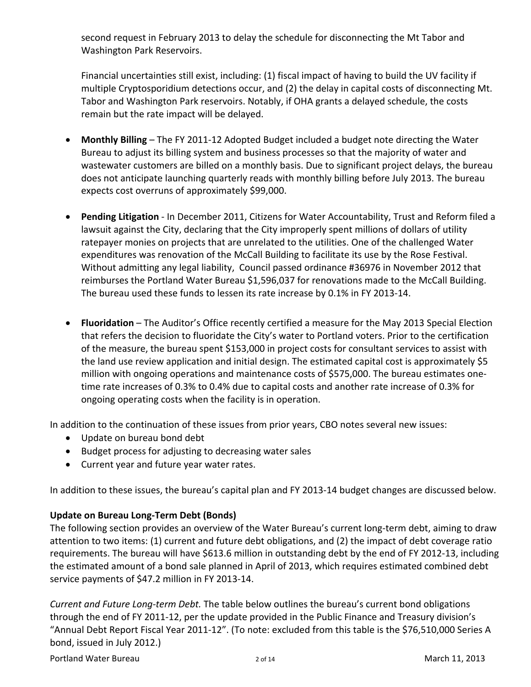second request in February 2013 to delay the schedule for disconnecting the Mt Tabor and Washington Park Reservoirs.

Financial uncertainties still exist, including: (1) fiscal impact of having to build the UV facility if multiple Cryptosporidium detections occur, and (2) the delay in capital costs of disconnecting Mt. Tabor and Washington Park reservoirs. Notably, if OHA grants a delayed schedule, the costs remain but the rate impact will be delayed.

- **Monthly Billing** The FY 2011‐12 Adopted Budget included a budget note directing the Water Bureau to adjust its billing system and business processes so that the majority of water and wastewater customers are billed on a monthly basis. Due to significant project delays, the bureau does not anticipate launching quarterly reads with monthly billing before July 2013. The bureau expects cost overruns of approximately \$99,000.
- **Pending Litigation** ‐ In December 2011, Citizens for Water Accountability, Trust and Reform filed a lawsuit against the City, declaring that the City improperly spent millions of dollars of utility ratepayer monies on projects that are unrelated to the utilities. One of the challenged Water expenditures was renovation of the McCall Building to facilitate its use by the Rose Festival. Without admitting any legal liability, Council passed ordinance #36976 in November 2012 that reimburses the Portland Water Bureau \$1,596,037 for renovations made to the McCall Building. The bureau used these funds to lessen its rate increase by 0.1% in FY 2013‐14.
- **Fluoridation** The Auditor's Office recently certified a measure for the May 2013 Special Election that refers the decision to fluoridate the City's water to Portland voters. Prior to the certification of the measure, the bureau spent \$153,000 in project costs for consultant services to assist with the land use review application and initial design. The estimated capital cost is approximately \$5 million with ongoing operations and maintenance costs of \$575,000. The bureau estimates one‐ time rate increases of 0.3% to 0.4% due to capital costs and another rate increase of 0.3% for ongoing operating costs when the facility is in operation.

In addition to the continuation of these issues from prior years, CBO notes several new issues:

- Update on bureau bond debt
- Budget process for adjusting to decreasing water sales
- Current year and future year water rates.

In addition to these issues, the bureau's capital plan and FY 2013-14 budget changes are discussed below.

## **Update on Bureau Long‐Term Debt (Bonds)**

The following section provides an overview of the Water Bureau's current long-term debt, aiming to draw attention to two items: (1) current and future debt obligations, and (2) the impact of debt coverage ratio requirements. The bureau will have \$613.6 million in outstanding debt by the end of FY 2012‐13, including the estimated amount of a bond sale planned in April of 2013, which requires estimated combined debt service payments of \$47.2 million in FY 2013‐14.

*Current and Future Long‐term Debt.* The table below outlines the bureau's current bond obligations through the end of FY 2011‐12, per the update provided in the Public Finance and Treasury division's "Annual Debt Report Fiscal Year 2011‐12". (To note: excluded from this table is the \$76,510,000 Series A bond, issued in July 2012.)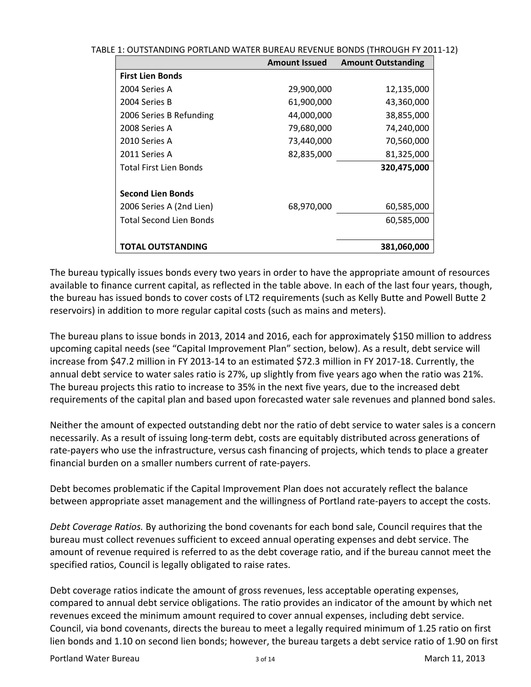TABLE 1: OUTSTANDING PORTLAND WATER BUREAU REVENUE BONDS (THROUGH FY 2011‐12)

|                          | <b>Amount Issued</b> | <b>Amount Outstanding</b> |
|--------------------------|----------------------|---------------------------|
| <b>First Lien Bonds</b>  |                      |                           |
| 2004 Series A            | 29,900,000           | 12,135,000                |
| 2004 Series B            | 61,900,000           | 43,360,000                |
| 2006 Series B Refunding  | 44,000,000           | 38,855,000                |
| 2008 Series A            | 79,680,000           | 74,240,000                |
| 2010 Series A            | 73,440,000           | 70,560,000                |
| 2011 Series A            | 82,835,000           | 81,325,000                |
| Total First Lien Bonds   |                      | 320,475,000               |
| <b>Second Lien Bonds</b> |                      |                           |
| 2006 Series A (2nd Lien) | 68,970,000           | 60,585,000                |
| Total Second Lien Bonds  |                      | 60,585,000                |
| TOTAL OUTSTANDING        |                      | 381,060,000               |

The bureau typically issues bonds every two years in order to have the appropriate amount of resources available to finance current capital, as reflected in the table above. In each of the last four years, though, the bureau has issued bonds to cover costs of LT2 requirements (such as Kelly Butte and Powell Butte 2 reservoirs) in addition to more regular capital costs (such as mains and meters).

The bureau plans to issue bonds in 2013, 2014 and 2016, each for approximately \$150 million to address upcoming capital needs (see "Capital Improvement Plan" section, below). As a result, debt service will increase from \$47.2 million in FY 2013‐14 to an estimated \$72.3 million in FY 2017‐18. Currently, the annual debt service to water sales ratio is 27%, up slightly from five years ago when the ratio was 21%. The bureau projects this ratio to increase to 35% in the next five years, due to the increased debt requirements of the capital plan and based upon forecasted water sale revenues and planned bond sales.

Neither the amount of expected outstanding debt nor the ratio of debt service to water sales is a concern necessarily. As a result of issuing long‐term debt, costs are equitably distributed across generations of rate-payers who use the infrastructure, versus cash financing of projects, which tends to place a greater financial burden on a smaller numbers current of rate‐payers.

Debt becomes problematic if the Capital Improvement Plan does not accurately reflect the balance between appropriate asset management and the willingness of Portland rate-payers to accept the costs.

*Debt Coverage Ratios.* By authorizing the bond covenants for each bond sale, Council requires that the bureau must collect revenues sufficient to exceed annual operating expenses and debt service. The amount of revenue required is referred to as the debt coverage ratio, and if the bureau cannot meet the specified ratios, Council is legally obligated to raise rates.

Debt coverage ratios indicate the amount of gross revenues, less acceptable operating expenses, compared to annual debt service obligations. The ratio provides an indicator of the amount by which net revenues exceed the minimum amount required to cover annual expenses, including debt service. Council, via bond covenants, directs the bureau to meet a legally required minimum of 1.25 ratio on first lien bonds and 1.10 on second lien bonds; however, the bureau targets a debt service ratio of 1.90 on first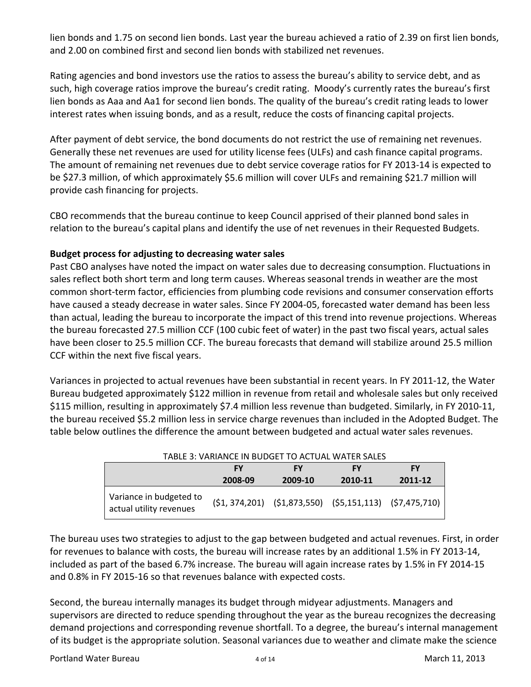lien bonds and 1.75 on second lien bonds. Last year the bureau achieved a ratio of 2.39 on first lien bonds, and 2.00 on combined first and second lien bonds with stabilized net revenues.

Rating agencies and bond investors use the ratios to assess the bureau's ability to service debt, and as such, high coverage ratios improve the bureau's credit rating. Moody's currently rates the bureau's first lien bonds as Aaa and Aa1 for second lien bonds. The quality of the bureau's credit rating leads to lower interest rates when issuing bonds, and as a result, reduce the costs of financing capital projects.

After payment of debt service, the bond documents do not restrict the use of remaining net revenues. Generally these net revenues are used for utility license fees (ULFs) and cash finance capital programs. The amount of remaining net revenues due to debt service coverage ratios for FY 2013‐14 is expected to be \$27.3 million, of which approximately \$5.6 million will cover ULFs and remaining \$21.7 million will provide cash financing for projects.

CBO recommends that the bureau continue to keep Council apprised of their planned bond sales in relation to the bureau's capital plans and identify the use of net revenues in their Requested Budgets.

## **Budget process for adjusting to decreasing water sales**

Past CBO analyses have noted the impact on water sales due to decreasing consumption. Fluctuations in sales reflect both short term and long term causes. Whereas seasonal trends in weather are the most common short-term factor, efficiencies from plumbing code revisions and consumer conservation efforts have caused a steady decrease in water sales. Since FY 2004‐05, forecasted water demand has been less than actual, leading the bureau to incorporate the impact of this trend into revenue projections. Whereas the bureau forecasted 27.5 million CCF (100 cubic feet of water) in the past two fiscal years, actual sales have been closer to 25.5 million CCF. The bureau forecasts that demand will stabilize around 25.5 million CCF within the next five fiscal years.

Variances in projected to actual revenues have been substantial in recent years. In FY 2011‐12, the Water Bureau budgeted approximately \$122 million in revenue from retail and wholesale sales but only received \$115 million, resulting in approximately \$7.4 million less revenue than budgeted. Similarly, in FY 2010‐11, the bureau received \$5.2 million less in service charge revenues than included in the Adopted Budget. The table below outlines the difference the amount between budgeted and actual water sales revenues.

| TABLE 3: VARIANCE IN BUDGET TO ACTUAL WATER SALES  |         |         |           |                                                                     |  |  |  |  |  |
|----------------------------------------------------|---------|---------|-----------|---------------------------------------------------------------------|--|--|--|--|--|
|                                                    | FY      | FΥ      | <b>FY</b> | FY                                                                  |  |  |  |  |  |
|                                                    | 2008-09 | 2009-10 | 2010-11   | 2011-12                                                             |  |  |  |  |  |
| Variance in budgeted to<br>actual utility revenues |         |         |           | $(51, 374, 201)$ $(51, 873, 550)$ $(55, 151, 113)$ $(57, 475, 710)$ |  |  |  |  |  |

The bureau uses two strategies to adjust to the gap between budgeted and actual revenues. First, in order for revenues to balance with costs, the bureau will increase rates by an additional 1.5% in FY 2013‐14, included as part of the based 6.7% increase. The bureau will again increase rates by 1.5% in FY 2014‐15 and 0.8% in FY 2015-16 so that revenues balance with expected costs.

Second, the bureau internally manages its budget through midyear adjustments. Managers and supervisors are directed to reduce spending throughout the year as the bureau recognizes the decreasing demand projections and corresponding revenue shortfall. To a degree, the bureau's internal management of its budget is the appropriate solution. Seasonal variances due to weather and climate make the science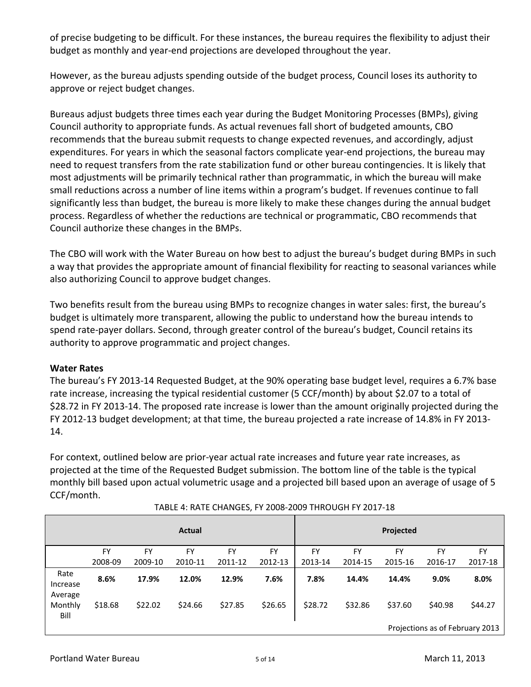of precise budgeting to be difficult. For these instances, the bureau requires the flexibility to adjust their budget as monthly and year‐end projections are developed throughout the year.

However, as the bureau adjusts spending outside of the budget process, Council loses its authority to approve or reject budget changes.

Bureaus adjust budgets three times each year during the Budget Monitoring Processes (BMPs), giving Council authority to appropriate funds. As actual revenues fall short of budgeted amounts, CBO recommends that the bureau submit requests to change expected revenues, and accordingly, adjust expenditures. For years in which the seasonal factors complicate year-end projections, the bureau may need to request transfers from the rate stabilization fund or other bureau contingencies. It is likely that most adjustments will be primarily technical rather than programmatic, in which the bureau will make small reductions across a number of line items within a program's budget. If revenues continue to fall significantly less than budget, the bureau is more likely to make these changes during the annual budget process. Regardless of whether the reductions are technical or programmatic, CBO recommends that Council authorize these changes in the BMPs.

The CBO will work with the Water Bureau on how best to adjust the bureau's budget during BMPs in such a way that provides the appropriate amount of financial flexibility for reacting to seasonal variances while also authorizing Council to approve budget changes.

Two benefits result from the bureau using BMPs to recognize changes in water sales: first, the bureau's budget is ultimately more transparent, allowing the public to understand how the bureau intends to spend rate-payer dollars. Second, through greater control of the bureau's budget, Council retains its authority to approve programmatic and project changes.

## **Water Rates**

The bureau's FY 2013‐14 Requested Budget, at the 90% operating base budget level, requires a 6.7% base rate increase, increasing the typical residential customer (5 CCF/month) by about \$2.07 to a total of \$28.72 in FY 2013‐14. The proposed rate increase is lower than the amount originally projected during the FY 2012‐13 budget development; at that time, the bureau projected a rate increase of 14.8% in FY 2013‐ 14.

For context, outlined below are prior‐year actual rate increases and future year rate increases, as projected at the time of the Requested Budget submission. The bottom line of the table is the typical monthly bill based upon actual volumetric usage and a projected bill based upon an average of usage of 5 CCF/month.

|                             |         |           | Actual    |         |         |         |         | Projected |                                            |         |
|-----------------------------|---------|-----------|-----------|---------|---------|---------|---------|-----------|--------------------------------------------|---------|
|                             | FY      | <b>FY</b> | <b>FY</b> | FY      | FY      | FY      | FY      | <b>FY</b> | FY                                         | FY      |
|                             | 2008-09 | 2009-10   | 2010-11   | 2011-12 | 2012-13 | 2013-14 | 2014-15 | 2015-16   | 2016-17                                    | 2017-18 |
| Rate<br>Increase<br>Average | 8.6%    | 17.9%     | 12.0%     | 12.9%   | 7.6%    | 7.8%    | 14.4%   | 14.4%     | 9.0%                                       | 8.0%    |
| Monthly<br>Bill             | \$18.68 | \$22.02   | \$24.66   | \$27.85 | \$26.65 | \$28.72 | \$32.86 | \$37.60   | \$40.98<br>Projections as of February 2013 | \$44.27 |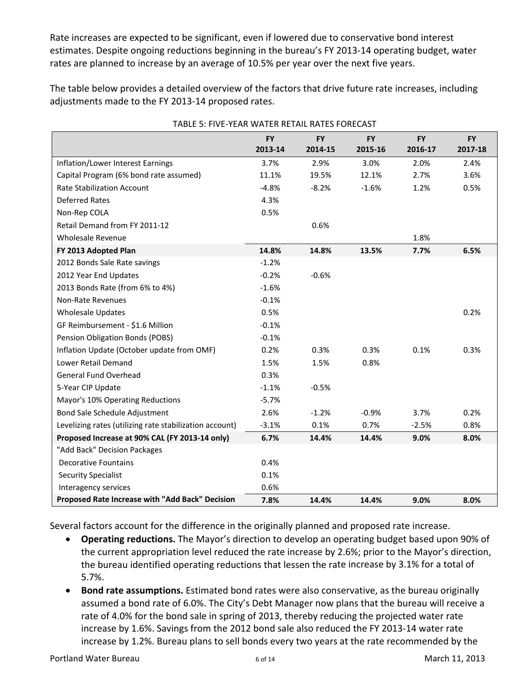Rate increases are expected to be significant, even if lowered due to conservative bond interest estimates. Despite ongoing reductions beginning in the bureau's FY 2013‐14 operating budget, water rates are planned to increase by an average of 10.5% per year over the next five years.

The table below provides a detailed overview of the factors that drive future rate increases, including adjustments made to the FY 2013‐14 proposed rates.

|                                                         | <b>FY</b> | <b>FY</b> | <b>FY</b> | <b>FY</b> | <b>FY</b> |
|---------------------------------------------------------|-----------|-----------|-----------|-----------|-----------|
|                                                         | 2013-14   | 2014-15   | 2015-16   | 2016-17   | 2017-18   |
| Inflation/Lower Interest Earnings                       | 3.7%      | 2.9%      | 3.0%      | 2.0%      | 2.4%      |
| Capital Program (6% bond rate assumed)                  | 11.1%     | 19.5%     | 12.1%     | 2.7%      | 3.6%      |
| <b>Rate Stabilization Account</b>                       | $-4.8%$   | $-8.2%$   | $-1.6%$   | 1.2%      | 0.5%      |
| <b>Deferred Rates</b>                                   | 4.3%      |           |           |           |           |
| Non-Rep COLA                                            | 0.5%      |           |           |           |           |
| Retail Demand from FY 2011-12                           |           | 0.6%      |           |           |           |
| <b>Wholesale Revenue</b>                                |           |           |           | 1.8%      |           |
| FY 2013 Adopted Plan                                    | 14.8%     | 14.8%     | 13.5%     | 7.7%      | 6.5%      |
| 2012 Bonds Sale Rate savings                            | $-1.2%$   |           |           |           |           |
| 2012 Year End Updates                                   | $-0.2%$   | $-0.6%$   |           |           |           |
| 2013 Bonds Rate (from 6% to 4%)                         | $-1.6%$   |           |           |           |           |
| Non-Rate Revenues                                       | $-0.1%$   |           |           |           |           |
| <b>Wholesale Updates</b>                                | 0.5%      |           |           |           | 0.2%      |
| GF Reimbursement - \$1.6 Million                        | $-0.1%$   |           |           |           |           |
| Pension Obligation Bonds (POBS)                         | $-0.1%$   |           |           |           |           |
| Inflation Update (October update from OMF)              | 0.2%      | 0.3%      | 0.3%      | 0.1%      | 0.3%      |
| Lower Retail Demand                                     | 1.5%      | 1.5%      | 0.8%      |           |           |
| General Fund Overhead                                   | 0.3%      |           |           |           |           |
| 5-Year CIP Update                                       | $-1.1%$   | $-0.5%$   |           |           |           |
| Mayor's 10% Operating Reductions                        | $-5.7%$   |           |           |           |           |
| Bond Sale Schedule Adjustment                           | 2.6%      | $-1.2%$   | $-0.9%$   | 3.7%      | 0.2%      |
| Levelizing rates (utilizing rate stabilization account) | $-3.1%$   | 0.1%      | 0.7%      | $-2.5%$   | 0.8%      |
| Proposed Increase at 90% CAL (FY 2013-14 only)          | 6.7%      | 14.4%     | 14.4%     | 9.0%      | 8.0%      |
| "Add Back" Decision Packages                            |           |           |           |           |           |
| <b>Decorative Fountains</b>                             | 0.4%      |           |           |           |           |
| <b>Security Specialist</b>                              | 0.1%      |           |           |           |           |
| Interagency services                                    | 0.6%      |           |           |           |           |
| Proposed Rate Increase with "Add Back" Decision         | 7.8%      | 14.4%     | 14.4%     | 9.0%      | 8.0%      |

TABLE E: EIVE VEAR WATER RETAIL RATES FORECAST

Several factors account for the difference in the originally planned and proposed rate increase.

- **Operating reductions.** The Mayor's direction to develop an operating budget based upon 90% of the current appropriation level reduced the rate increase by 2.6%; prior to the Mayor's direction, the bureau identified operating reductions that lessen the rate increase by 3.1% for a total of 5.7%.
- **Bond rate assumptions.** Estimated bond rates were also conservative, as the bureau originally assumed a bond rate of 6.0%. The City's Debt Manager now plans that the bureau will receive a rate of 4.0% for the bond sale in spring of 2013, thereby reducing the projected water rate increase by 1.6%. Savings from the 2012 bond sale also reduced the FY 2013‐14 water rate increase by 1.2%. Bureau plans to sell bonds every two years at the rate recommended by the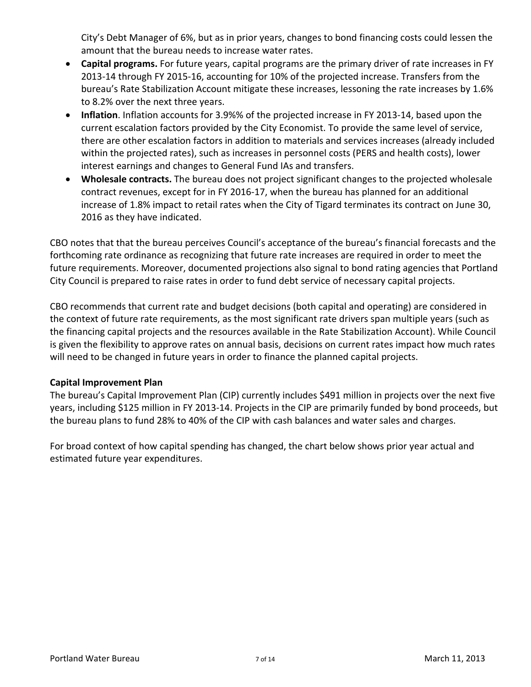City's Debt Manager of 6%, but as in prior years, changes to bond financing costs could lessen the amount that the bureau needs to increase water rates.

- **Capital programs.** For future years, capital programs are the primary driver of rate increases in FY 2013‐14 through FY 2015‐16, accounting for 10% of the projected increase. Transfers from the bureau's Rate Stabilization Account mitigate these increases, lessoning the rate increases by 1.6% to 8.2% over the next three years.
- **Inflation**. Inflation accounts for 3.9%% of the projected increase in FY 2013‐14, based upon the current escalation factors provided by the City Economist. To provide the same level of service, there are other escalation factors in addition to materials and services increases (already included within the projected rates), such as increases in personnel costs (PERS and health costs), lower interest earnings and changes to General Fund IAs and transfers.
- **Wholesale contracts.** The bureau does not project significant changes to the projected wholesale contract revenues, except for in FY 2016‐17, when the bureau has planned for an additional increase of 1.8% impact to retail rates when the City of Tigard terminates its contract on June 30, 2016 as they have indicated.

CBO notes that that the bureau perceives Council's acceptance of the bureau's financial forecasts and the forthcoming rate ordinance as recognizing that future rate increases are required in order to meet the future requirements. Moreover, documented projections also signal to bond rating agencies that Portland City Council is prepared to raise rates in order to fund debt service of necessary capital projects.

CBO recommends that current rate and budget decisions (both capital and operating) are considered in the context of future rate requirements, as the most significant rate drivers span multiple years (such as the financing capital projects and the resources available in the Rate Stabilization Account). While Council is given the flexibility to approve rates on annual basis, decisions on current rates impact how much rates will need to be changed in future years in order to finance the planned capital projects.

## **Capital Improvement Plan**

The bureau's Capital Improvement Plan (CIP) currently includes \$491 million in projects over the next five years, including \$125 million in FY 2013‐14. Projects in the CIP are primarily funded by bond proceeds, but the bureau plans to fund 28% to 40% of the CIP with cash balances and water sales and charges.

For broad context of how capital spending has changed, the chart below shows prior year actual and estimated future year expenditures.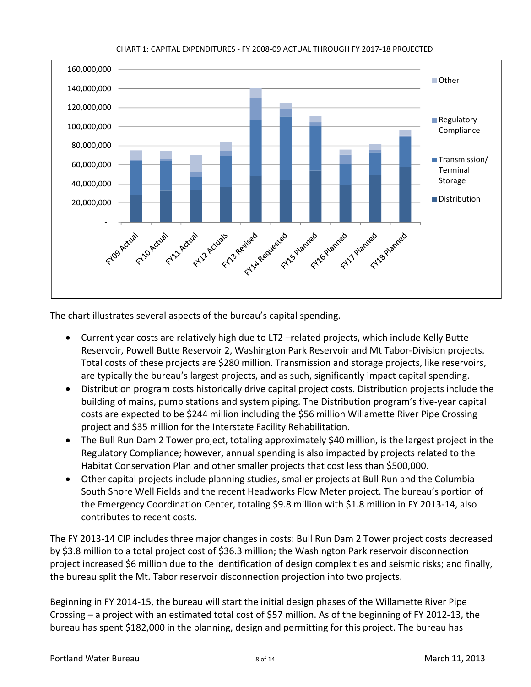

#### CHART 1: CAPITAL EXPENDITURES ‐ FY 2008‐09 ACTUAL THROUGH FY 2017‐18 PROJECTED

The chart illustrates several aspects of the bureau's capital spending.

- Current year costs are relatively high due to LT2 –related projects, which include Kelly Butte Reservoir, Powell Butte Reservoir 2, Washington Park Reservoir and Mt Tabor‐Division projects. Total costs of these projects are \$280 million. Transmission and storage projects, like reservoirs, are typically the bureau's largest projects, and as such, significantly impact capital spending.
- Distribution program costs historically drive capital project costs. Distribution projects include the building of mains, pump stations and system piping. The Distribution program's five‐year capital costs are expected to be \$244 million including the \$56 million Willamette River Pipe Crossing project and \$35 million for the Interstate Facility Rehabilitation.
- The Bull Run Dam 2 Tower project, totaling approximately \$40 million, is the largest project in the Regulatory Compliance; however, annual spending is also impacted by projects related to the Habitat Conservation Plan and other smaller projects that cost less than \$500,000.
- Other capital projects include planning studies, smaller projects at Bull Run and the Columbia South Shore Well Fields and the recent Headworks Flow Meter project. The bureau's portion of the Emergency Coordination Center, totaling \$9.8 million with \$1.8 million in FY 2013‐14, also contributes to recent costs.

The FY 2013‐14 CIP includes three major changes in costs: Bull Run Dam 2 Tower project costs decreased by \$3.8 million to a total project cost of \$36.3 million; the Washington Park reservoir disconnection project increased \$6 million due to the identification of design complexities and seismic risks; and finally, the bureau split the Mt. Tabor reservoir disconnection projection into two projects.

Beginning in FY 2014‐15, the bureau will start the initial design phases of the Willamette River Pipe Crossing – a project with an estimated total cost of \$57 million. As of the beginning of FY 2012‐13, the bureau has spent \$182,000 in the planning, design and permitting for this project. The bureau has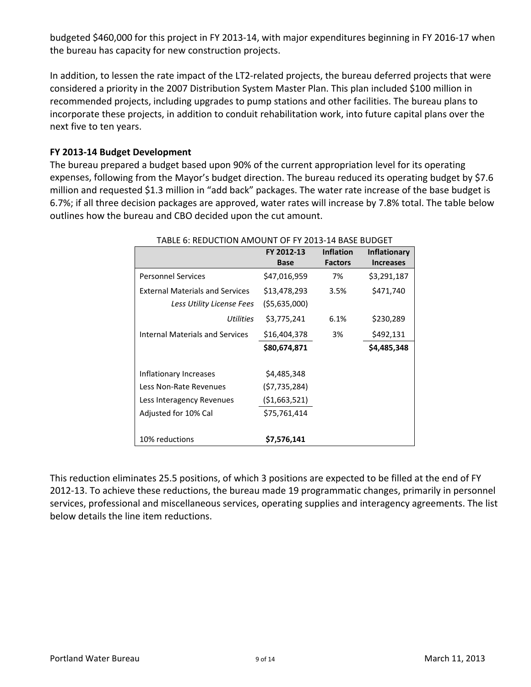budgeted \$460,000 for this project in FY 2013‐14, with major expenditures beginning in FY 2016‐17 when the bureau has capacity for new construction projects.

In addition, to lessen the rate impact of the LT2-related projects, the bureau deferred projects that were considered a priority in the 2007 Distribution System Master Plan. This plan included \$100 million in recommended projects, including upgrades to pump stations and other facilities. The bureau plans to incorporate these projects, in addition to conduit rehabilitation work, into future capital plans over the next five to ten years.

## **FY 2013‐14 Budget Development**

The bureau prepared a budget based upon 90% of the current appropriation level for its operating expenses, following from the Mayor's budget direction. The bureau reduced its operating budget by \$7.6 million and requested \$1.3 million in "add back" packages. The water rate increase of the base budget is 6.7%; if all three decision packages are approved, water rates will increase by 7.8% total. The table below outlines how the bureau and CBO decided upon the cut amount.

|                                        | FY 2012-13    | <b>Inflation</b> | <b>Inflationary</b> |
|----------------------------------------|---------------|------------------|---------------------|
|                                        | <b>Base</b>   | <b>Factors</b>   | <b>Increases</b>    |
| <b>Personnel Services</b>              | \$47,016,959  | 7%               | \$3,291,187         |
| <b>External Materials and Services</b> | \$13,478,293  | 3.5%             | \$471,740           |
| Less Utility License Fees              | (\$5,635,000) |                  |                     |
| Utilities                              | \$3,775,241   | 6.1%             | \$230,289           |
| Internal Materials and Services        | \$16,404,378  | 3%               | \$492,131           |
|                                        | \$80,674,871  |                  | \$4,485,348         |
|                                        |               |                  |                     |
| Inflationary Increases                 | \$4,485,348   |                  |                     |
| Less Non-Rate Revenues                 | (\$7,735,284) |                  |                     |
| Less Interagency Revenues              | (\$1,663,521) |                  |                     |
| Adjusted for 10% Cal                   | \$75,761,414  |                  |                     |
|                                        |               |                  |                     |
| 10% reductions                         | \$7,576,141   |                  |                     |

TABLE 6: REDUCTION AMOUNT OF FY 2013‐14 BASE BUDGET

This reduction eliminates 25.5 positions, of which 3 positions are expected to be filled at the end of FY 2012‐13. To achieve these reductions, the bureau made 19 programmatic changes, primarily in personnel services, professional and miscellaneous services, operating supplies and interagency agreements. The list below details the line item reductions.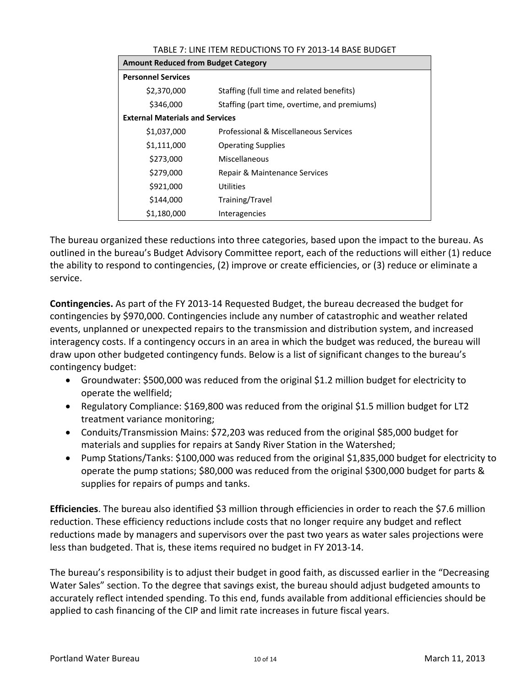| I ADLL 7 . LINL I I LIVI INLDUCTIONJ TO T T ZUIJ IT DAJL DUDULT |                                              |  |  |  |  |  |  |
|-----------------------------------------------------------------|----------------------------------------------|--|--|--|--|--|--|
|                                                                 | <b>Amount Reduced from Budget Category</b>   |  |  |  |  |  |  |
| <b>Personnel Services</b>                                       |                                              |  |  |  |  |  |  |
| \$2,370,000                                                     | Staffing (full time and related benefits)    |  |  |  |  |  |  |
| \$346,000                                                       | Staffing (part time, overtime, and premiums) |  |  |  |  |  |  |
| <b>External Materials and Services</b>                          |                                              |  |  |  |  |  |  |
| \$1,037,000                                                     | Professional & Miscellaneous Services        |  |  |  |  |  |  |
| \$1,111,000                                                     | <b>Operating Supplies</b>                    |  |  |  |  |  |  |
| \$273,000                                                       | Miscellaneous                                |  |  |  |  |  |  |
| \$279,000                                                       | Repair & Maintenance Services                |  |  |  |  |  |  |
| \$921,000                                                       | Utilities                                    |  |  |  |  |  |  |
| \$144,000                                                       | Training/Travel                              |  |  |  |  |  |  |
| \$1,180,000                                                     | Interagencies                                |  |  |  |  |  |  |

TABLE 7: LINE ITEM REDUCTIONS TO FY 2013‐14 BASE BUDGET

The bureau organized these reductions into three categories, based upon the impact to the bureau. As outlined in the bureau's Budget Advisory Committee report, each of the reductions will either (1) reduce the ability to respond to contingencies, (2) improve or create efficiencies, or (3) reduce or eliminate a service.

**Contingencies.** As part of the FY 2013‐14 Requested Budget, the bureau decreased the budget for contingencies by \$970,000. Contingencies include any number of catastrophic and weather related events, unplanned or unexpected repairs to the transmission and distribution system, and increased interagency costs. If a contingency occurs in an area in which the budget was reduced, the bureau will draw upon other budgeted contingency funds. Below is a list of significant changes to the bureau's contingency budget:

- Groundwater: \$500,000 was reduced from the original \$1.2 million budget for electricity to operate the wellfield;
- Regulatory Compliance: \$169,800 was reduced from the original \$1.5 million budget for LT2 treatment variance monitoring;
- Conduits/Transmission Mains: \$72,203 was reduced from the original \$85,000 budget for materials and supplies for repairs at Sandy River Station in the Watershed;
- Pump Stations/Tanks: \$100,000 was reduced from the original \$1,835,000 budget for electricity to operate the pump stations; \$80,000 was reduced from the original \$300,000 budget for parts & supplies for repairs of pumps and tanks.

**Efficiencies**. The bureau also identified \$3 million through efficiencies in order to reach the \$7.6 million reduction. These efficiency reductions include costs that no longer require any budget and reflect reductions made by managers and supervisors over the past two years as water sales projections were less than budgeted. That is, these items required no budget in FY 2013‐14.

The bureau's responsibility is to adjust their budget in good faith, as discussed earlier in the "Decreasing Water Sales" section. To the degree that savings exist, the bureau should adjust budgeted amounts to accurately reflect intended spending. To this end, funds available from additional efficiencies should be applied to cash financing of the CIP and limit rate increases in future fiscal years.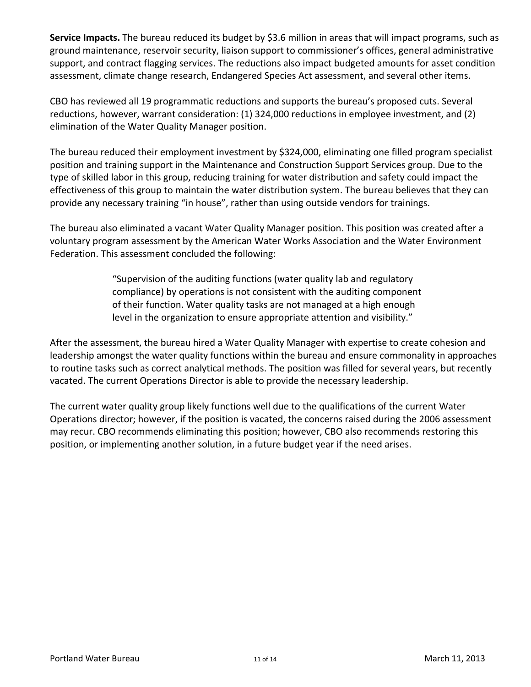**Service Impacts.** The bureau reduced its budget by \$3.6 million in areas that will impact programs, such as ground maintenance, reservoir security, liaison support to commissioner's offices, general administrative support, and contract flagging services. The reductions also impact budgeted amounts for asset condition assessment, climate change research, Endangered Species Act assessment, and several other items.

CBO has reviewed all 19 programmatic reductions and supports the bureau's proposed cuts. Several reductions, however, warrant consideration: (1) 324,000 reductions in employee investment, and (2) elimination of the Water Quality Manager position.

The bureau reduced their employment investment by \$324,000, eliminating one filled program specialist position and training support in the Maintenance and Construction Support Services group. Due to the type of skilled labor in this group, reducing training for water distribution and safety could impact the effectiveness of this group to maintain the water distribution system. The bureau believes that they can provide any necessary training "in house", rather than using outside vendors for trainings.

The bureau also eliminated a vacant Water Quality Manager position. This position was created after a voluntary program assessment by the American Water Works Association and the Water Environment Federation. This assessment concluded the following:

> "Supervision of the auditing functions (water quality lab and regulatory compliance) by operations is not consistent with the auditing component of their function. Water quality tasks are not managed at a high enough level in the organization to ensure appropriate attention and visibility."

After the assessment, the bureau hired a Water Quality Manager with expertise to create cohesion and leadership amongst the water quality functions within the bureau and ensure commonality in approaches to routine tasks such as correct analytical methods. The position was filled for several years, but recently vacated. The current Operations Director is able to provide the necessary leadership.

The current water quality group likely functions well due to the qualifications of the current Water Operations director; however, if the position is vacated, the concerns raised during the 2006 assessment may recur. CBO recommends eliminating this position; however, CBO also recommends restoring this position, or implementing another solution, in a future budget year if the need arises.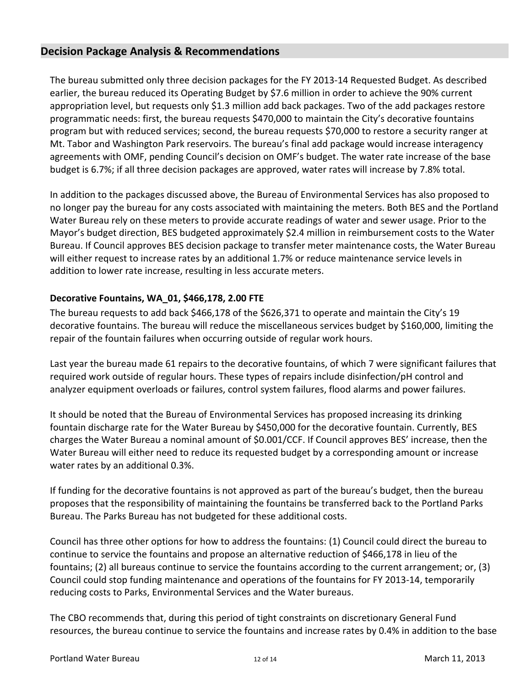## **Decision Package Analysis & Recommendations**

The bureau submitted only three decision packages for the FY 2013‐14 Requested Budget. As described earlier, the bureau reduced its Operating Budget by \$7.6 million in order to achieve the 90% current appropriation level, but requests only \$1.3 million add back packages. Two of the add packages restore programmatic needs: first, the bureau requests \$470,000 to maintain the City's decorative fountains program but with reduced services; second, the bureau requests \$70,000 to restore a security ranger at Mt. Tabor and Washington Park reservoirs. The bureau's final add package would increase interagency agreements with OMF, pending Council's decision on OMF's budget. The water rate increase of the base budget is 6.7%; if all three decision packages are approved, water rates will increase by 7.8% total.

In addition to the packages discussed above, the Bureau of Environmental Services has also proposed to no longer pay the bureau for any costs associated with maintaining the meters. Both BES and the Portland Water Bureau rely on these meters to provide accurate readings of water and sewer usage. Prior to the Mayor's budget direction, BES budgeted approximately \$2.4 million in reimbursement costs to the Water Bureau. If Council approves BES decision package to transfer meter maintenance costs, the Water Bureau will either request to increase rates by an additional 1.7% or reduce maintenance service levels in addition to lower rate increase, resulting in less accurate meters.

## **Decorative Fountains, WA\_01, \$466,178, 2.00 FTE**

The bureau requests to add back \$466,178 of the \$626,371 to operate and maintain the City's 19 decorative fountains. The bureau will reduce the miscellaneous services budget by \$160,000, limiting the repair of the fountain failures when occurring outside of regular work hours.

Last year the bureau made 61 repairs to the decorative fountains, of which 7 were significant failures that required work outside of regular hours. These types of repairs include disinfection/pH control and analyzer equipment overloads or failures, control system failures, flood alarms and power failures.

It should be noted that the Bureau of Environmental Services has proposed increasing its drinking fountain discharge rate for the Water Bureau by \$450,000 for the decorative fountain. Currently, BES charges the Water Bureau a nominal amount of \$0.001/CCF. If Council approves BES' increase, then the Water Bureau will either need to reduce its requested budget by a corresponding amount or increase water rates by an additional 0.3%.

If funding for the decorative fountains is not approved as part of the bureau's budget, then the bureau proposes that the responsibility of maintaining the fountains be transferred back to the Portland Parks Bureau. The Parks Bureau has not budgeted for these additional costs.

Council has three other options for how to address the fountains: (1) Council could direct the bureau to continue to service the fountains and propose an alternative reduction of \$466,178 in lieu of the fountains; (2) all bureaus continue to service the fountains according to the current arrangement; or, (3) Council could stop funding maintenance and operations of the fountains for FY 2013‐14, temporarily reducing costs to Parks, Environmental Services and the Water bureaus.

The CBO recommends that, during this period of tight constraints on discretionary General Fund resources, the bureau continue to service the fountains and increase rates by 0.4% in addition to the base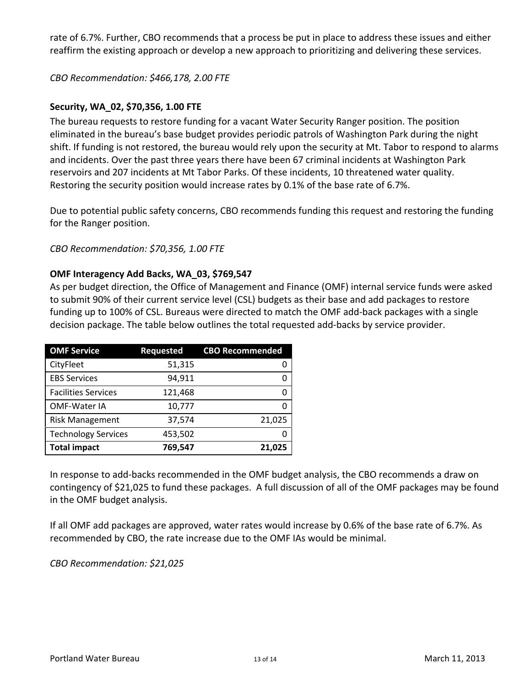rate of 6.7%. Further, CBO recommends that a process be put in place to address these issues and either reaffirm the existing approach or develop a new approach to prioritizing and delivering these services.

*CBO Recommendation: \$466,178, 2.00 FTE*

## **Security, WA\_02, \$70,356, 1.00 FTE**

The bureau requests to restore funding for a vacant Water Security Ranger position. The position eliminated in the bureau's base budget provides periodic patrols of Washington Park during the night shift. If funding is not restored, the bureau would rely upon the security at Mt. Tabor to respond to alarms and incidents. Over the past three years there have been 67 criminal incidents at Washington Park reservoirs and 207 incidents at Mt Tabor Parks. Of these incidents, 10 threatened water quality. Restoring the security position would increase rates by 0.1% of the base rate of 6.7%.

Due to potential public safety concerns, CBO recommends funding this request and restoring the funding for the Ranger position.

*CBO Recommendation: \$70,356, 1.00 FTE*

## **OMF Interagency Add Backs, WA\_03, \$769,547**

As per budget direction, the Office of Management and Finance (OMF) internal service funds were asked to submit 90% of their current service level (CSL) budgets as their base and add packages to restore funding up to 100% of CSL. Bureaus were directed to match the OMF add‐back packages with a single decision package. The table below outlines the total requested add‐backs by service provider.

| <b>OMF Service</b>         | <b>Requested</b> | <b>CBO Recommended</b> |
|----------------------------|------------------|------------------------|
| CityFleet                  | 51,315           | 0                      |
| <b>EBS Services</b>        | 94,911           | ი                      |
| <b>Facilities Services</b> | 121,468          | O                      |
| <b>OMF-Water IA</b>        | 10,777           | O                      |
| <b>Risk Management</b>     | 37,574           | 21,025                 |
| <b>Technology Services</b> | 453,502          | O                      |
| <b>Total impact</b>        | 769,547          | 21,025                 |

In response to add‐backs recommended in the OMF budget analysis, the CBO recommends a draw on contingency of \$21,025 to fund these packages. A full discussion of all of the OMF packages may be found in the OMF budget analysis.

If all OMF add packages are approved, water rates would increase by 0.6% of the base rate of 6.7%. As recommended by CBO, the rate increase due to the OMF IAs would be minimal.

*CBO Recommendation: \$21,025*